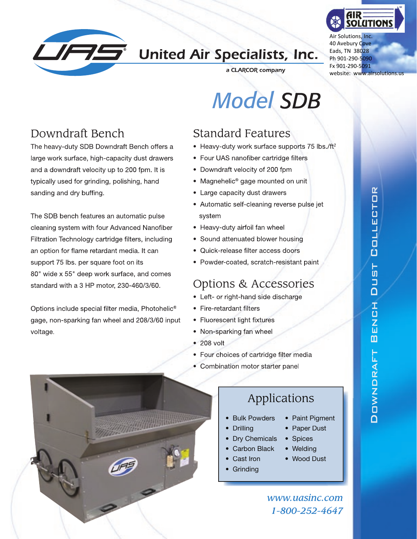

## **LIFTS** United Air Specialists, Inc.



Air Solutions, Inc. 40 Avebury Cove Eads, TN 38028 Ph 901‐290‐5090 Fx 901‐290‐5091 website: www.airsolutions.us

a CLARCOR company

# *Model SDB*

#### Standard Features

- Heavy-duty work surface supports 75 lbs./ft<sup>2</sup>
- Four UAS nanofiber cartridge filters
- Downdraft velocity of 200 fpm
- Magnehelic<sup>®</sup> gage mounted on unit
- Large capacity dust drawers
- Automatic self-cleaning reverse pulse jet system
- Heavy-duty airfoil fan wheel
- Sound attenuated blower housing
- Quick-release filter access doors
- Powder-coated, scratch-resistant paint

#### Options & Accessories

- Left- or right-hand side discharge
- Fire-retardant filters
- Fluorescent light fixtures
- Non-sparking fan wheel
- 208 volt

**HARANTS** 

- Four choices of cartridge filter media
- Combination motor starter panel

#### Applications

- Bulk Powders
- Drilling
- Dry Chemicals
- Carbon Black
	- Cast Iron
- Grinding

*www.uasinc.com 1-800-252-4647*

• Paint Pigment • Paper Dust • Spices • Welding • Wood Dust

Downdraft Bench Dust Collector

エロスロ

m

DOWNDRAFT

 $\overline{\mathsf{D}}$ 

TSL

COLLECTOR

### Downdraft Bench

The heavy-duty SDB Downdraft Bench offers a large work surface, high-capacity dust drawers and a downdraft velocity up to 200 fpm. It is typically used for grinding, polishing, hand sanding and dry buffing.

The SDB bench features an automatic pulse cleaning system with four Advanced Nanofiber Filtration Technology cartridge filters, including an option for flame retardant media. It can support 75 lbs. per square foot on its 80" wide x 55" deep work surface, and comes standard with a 3 HP motor, 230-460/3/60.

Options include special filter media, Photohelic® gage, non-sparking fan wheel and 208/3/60 input voltage.